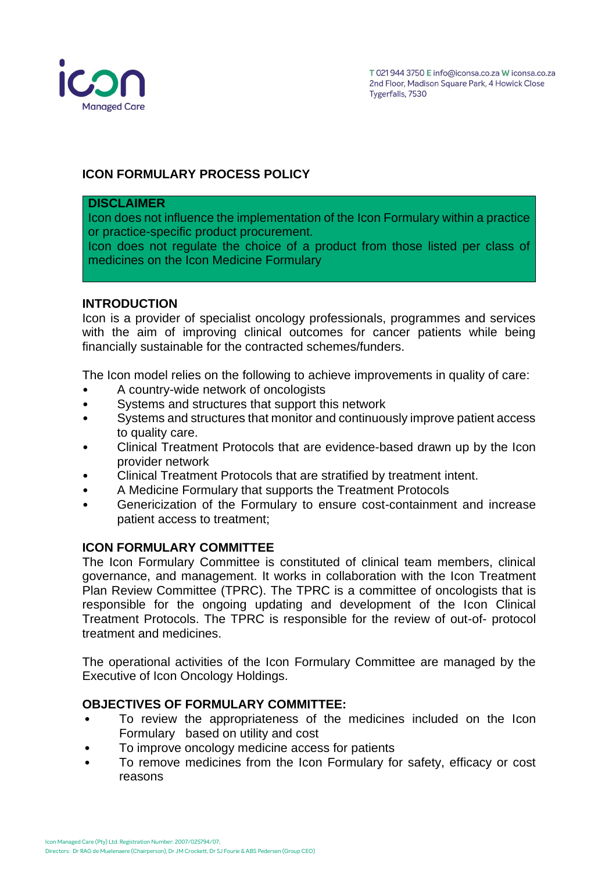

# **ICON FORMULARY PROCESS POLICY**

#### **DISCLAIMER**

Icon does not influence the implementation of the Icon Formulary within a practice or practice-specific product procurement.

Icon does not regulate the choice of a product from those listed per class of medicines on the Icon Medicine Formulary

### **INTRODUCTION**

Icon is a provider of specialist oncology professionals, programmes and services with the aim of improving clinical outcomes for cancer patients while being financially sustainable for the contracted schemes/funders.

The Icon model relies on the following to achieve improvements in quality of care:

- A country-wide network of oncologists
- Systems and structures that support this network
- Systems and structures that monitor and continuously improve patient access to quality care.
- Clinical Treatment Protocols that are evidence-based drawn up by the Icon provider network
- Clinical Treatment Protocols that are stratified by treatment intent.
- A Medicine Formulary that supports the Treatment Protocols
- Genericization of the Formulary to ensure cost-containment and increase patient access to treatment;

# **ICON FORMULARY COMMITTEE**

The Icon Formulary Committee is constituted of clinical team members, clinical governance, and management. It works in collaboration with the Icon Treatment Plan Review Committee (TPRC). The TPRC is a committee of oncologists that is responsible for the ongoing updating and development of the Icon Clinical Treatment Protocols. The TPRC is responsible for the review of out-of- protocol treatment and medicines.

The operational activities of the Icon Formulary Committee are managed by the Executive of Icon Oncology Holdings.

#### **OBJECTIVES OF FORMULARY COMMITTEE:**

- To review the appropriateness of the medicines included on the Icon Formulary based on utility and cost
- To improve oncology medicine access for patients
- To remove medicines from the Icon Formulary for safety, efficacy or cost reasons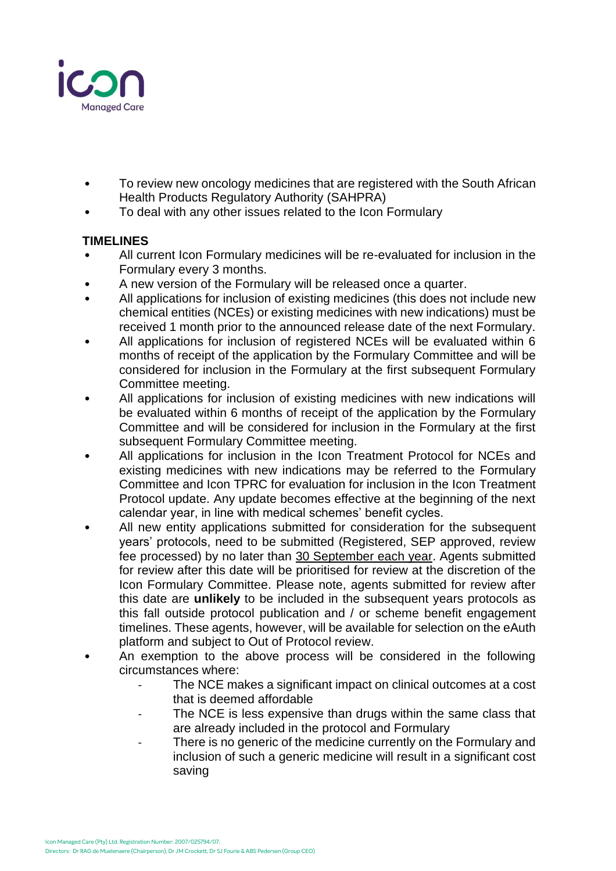

- To review new oncology medicines that are registered with the South African Health Products Regulatory Authority (SAHPRA)
- To deal with any other issues related to the Icon Formulary

# **TIMELINES**

- All current Icon Formulary medicines will be re-evaluated for inclusion in the Formulary every 3 months.
- A new version of the Formulary will be released once a quarter.
- All applications for inclusion of existing medicines (this does not include new chemical entities (NCEs) or existing medicines with new indications) must be received 1 month prior to the announced release date of the next Formulary.
- All applications for inclusion of registered NCEs will be evaluated within 6 months of receipt of the application by the Formulary Committee and will be considered for inclusion in the Formulary at the first subsequent Formulary Committee meeting.
- All applications for inclusion of existing medicines with new indications will be evaluated within 6 months of receipt of the application by the Formulary Committee and will be considered for inclusion in the Formulary at the first subsequent Formulary Committee meeting.
- All applications for inclusion in the Icon Treatment Protocol for NCEs and existing medicines with new indications may be referred to the Formulary Committee and Icon TPRC for evaluation for inclusion in the Icon Treatment Protocol update. Any update becomes effective at the beginning of the next calendar year, in line with medical schemes' benefit cycles.
- All new entity applications submitted for consideration for the subsequent years' protocols, need to be submitted (Registered, SEP approved, review fee processed) by no later than 30 September each year. Agents submitted for review after this date will be prioritised for review at the discretion of the Icon Formulary Committee. Please note, agents submitted for review after this date are **unlikely** to be included in the subsequent years protocols as this fall outside protocol publication and / or scheme benefit engagement timelines. These agents, however, will be available for selection on the eAuth platform and subject to Out of Protocol review.
- An exemption to the above process will be considered in the following circumstances where:
	- The NCE makes a significant impact on clinical outcomes at a cost that is deemed affordable
	- The NCE is less expensive than drugs within the same class that are already included in the protocol and Formulary
	- There is no generic of the medicine currently on the Formulary and inclusion of such a generic medicine will result in a significant cost saving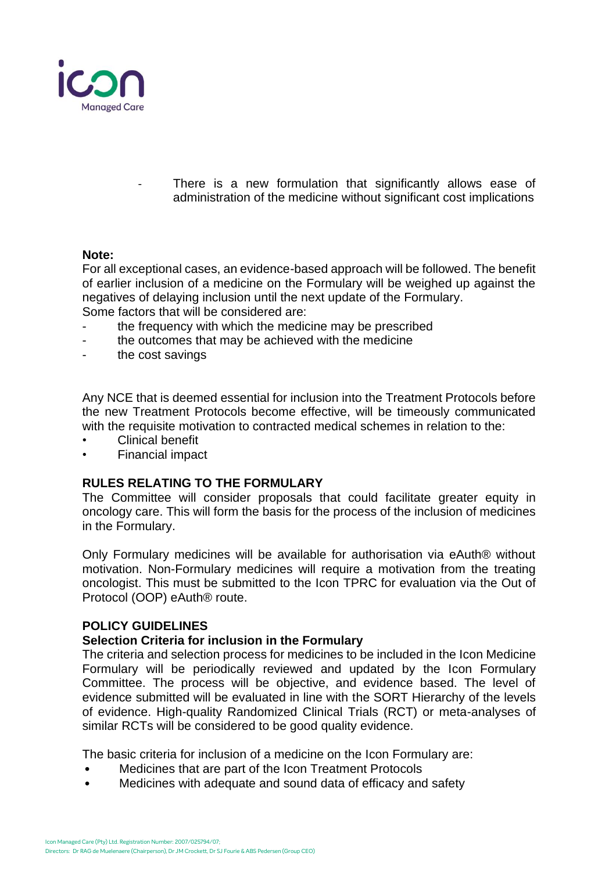

There is a new formulation that significantly allows ease of administration of the medicine without significant cost implications

### **Note:**

For all exceptional cases, an evidence-based approach will be followed. The benefit of earlier inclusion of a medicine on the Formulary will be weighed up against the negatives of delaying inclusion until the next update of the Formulary. Some factors that will be considered are:

- the frequency with which the medicine may be prescribed
- the outcomes that may be achieved with the medicine
- the cost savings

Any NCE that is deemed essential for inclusion into the Treatment Protocols before the new Treatment Protocols become effective, will be timeously communicated with the requisite motivation to contracted medical schemes in relation to the:

- Clinical benefit
- Financial impact

# **RULES RELATING TO THE FORMULARY**

The Committee will consider proposals that could facilitate greater equity in oncology care. This will form the basis for the process of the inclusion of medicines in the Formulary.

Only Formulary medicines will be available for authorisation via eAuth® without motivation. Non-Formulary medicines will require a motivation from the treating oncologist. This must be submitted to the Icon TPRC for evaluation via the Out of Protocol (OOP) eAuth® route.

#### **POLICY GUIDELINES**

# **Selection Criteria for inclusion in the Formulary**

The criteria and selection process for medicines to be included in the Icon Medicine Formulary will be periodically reviewed and updated by the Icon Formulary Committee. The process will be objective, and evidence based. The level of evidence submitted will be evaluated in line with the SORT Hierarchy of the levels of evidence. High-quality Randomized Clinical Trials (RCT) or meta-analyses of similar RCTs will be considered to be good quality evidence.

The basic criteria for inclusion of a medicine on the Icon Formulary are:

- Medicines that are part of the Icon Treatment Protocols
- Medicines with adequate and sound data of efficacy and safety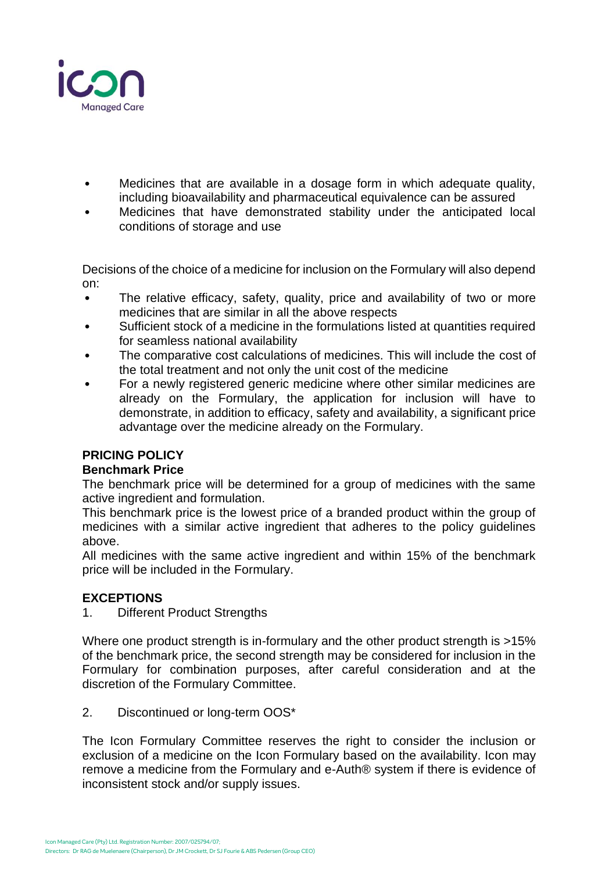

- Medicines that are available in a dosage form in which adequate quality, including bioavailability and pharmaceutical equivalence can be assured
- Medicines that have demonstrated stability under the anticipated local conditions of storage and use

Decisions of the choice of a medicine for inclusion on the Formulary will also depend on:

- The relative efficacy, safety, quality, price and availability of two or more medicines that are similar in all the above respects
- Sufficient stock of a medicine in the formulations listed at quantities required for seamless national availability
- The comparative cost calculations of medicines. This will include the cost of the total treatment and not only the unit cost of the medicine
- For a newly registered generic medicine where other similar medicines are already on the Formulary, the application for inclusion will have to demonstrate, in addition to efficacy, safety and availability, a significant price advantage over the medicine already on the Formulary.

# **PRICING POLICY**

# **Benchmark Price**

The benchmark price will be determined for a group of medicines with the same active ingredient and formulation.

This benchmark price is the lowest price of a branded product within the group of medicines with a similar active ingredient that adheres to the policy guidelines above.

All medicines with the same active ingredient and within 15% of the benchmark price will be included in the Formulary.

# **EXCEPTIONS**

1. Different Product Strengths

Where one product strength is in-formulary and the other product strength is >15% of the benchmark price, the second strength may be considered for inclusion in the Formulary for combination purposes, after careful consideration and at the discretion of the Formulary Committee.

2. Discontinued or long-term OOS\*

The Icon Formulary Committee reserves the right to consider the inclusion or exclusion of a medicine on the Icon Formulary based on the availability. Icon may remove a medicine from the Formulary and e-Auth® system if there is evidence of inconsistent stock and/or supply issues.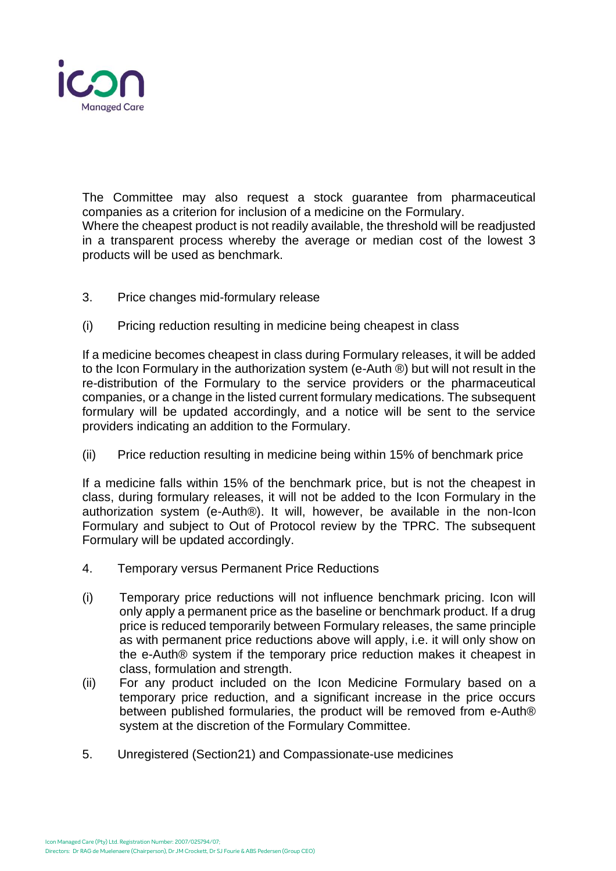

The Committee may also request a stock guarantee from pharmaceutical companies as a criterion for inclusion of a medicine on the Formulary. Where the cheapest product is not readily available, the threshold will be readjusted in a transparent process whereby the average or median cost of the lowest 3 products will be used as benchmark.

- 3. Price changes mid-formulary release
- (i) Pricing reduction resulting in medicine being cheapest in class

If a medicine becomes cheapest in class during Formulary releases, it will be added to the Icon Formulary in the authorization system (e-Auth ®) but will not result in the re-distribution of the Formulary to the service providers or the pharmaceutical companies, or a change in the listed current formulary medications. The subsequent formulary will be updated accordingly, and a notice will be sent to the service providers indicating an addition to the Formulary.

(ii) Price reduction resulting in medicine being within 15% of benchmark price

If a medicine falls within 15% of the benchmark price, but is not the cheapest in class, during formulary releases, it will not be added to the Icon Formulary in the authorization system (e-Auth®). It will, however, be available in the non-Icon Formulary and subject to Out of Protocol review by the TPRC. The subsequent Formulary will be updated accordingly.

- 4. Temporary versus Permanent Price Reductions
- (i) Temporary price reductions will not influence benchmark pricing. Icon will only apply a permanent price as the baseline or benchmark product. If a drug price is reduced temporarily between Formulary releases, the same principle as with permanent price reductions above will apply, i.e. it will only show on the e-Auth® system if the temporary price reduction makes it cheapest in class, formulation and strength.
- (ii) For any product included on the Icon Medicine Formulary based on a temporary price reduction, and a significant increase in the price occurs between published formularies, the product will be removed from e-Auth® system at the discretion of the Formulary Committee.
- 5. Unregistered (Section21) and Compassionate-use medicines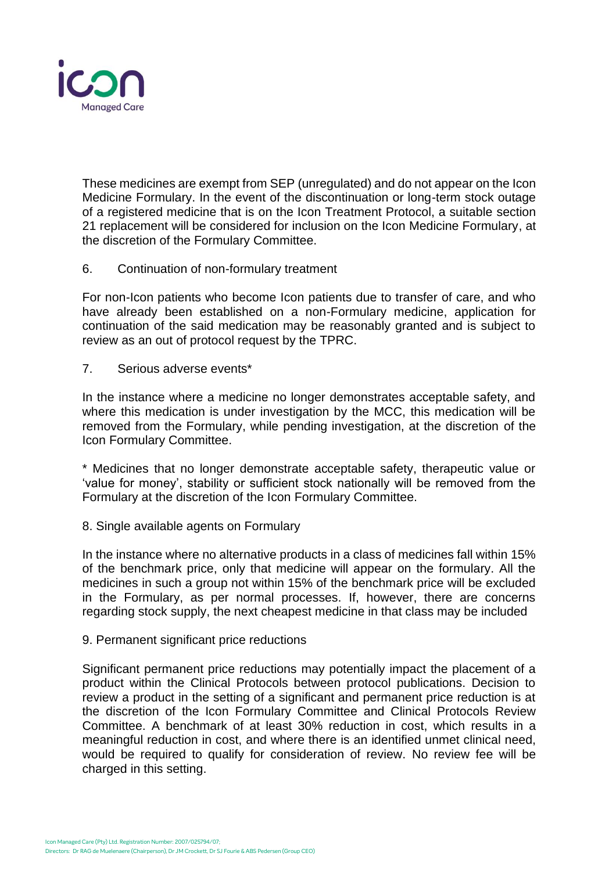

These medicines are exempt from SEP (unregulated) and do not appear on the Icon Medicine Formulary. In the event of the discontinuation or long-term stock outage of a registered medicine that is on the Icon Treatment Protocol, a suitable section 21 replacement will be considered for inclusion on the Icon Medicine Formulary, at the discretion of the Formulary Committee.

6. Continuation of non-formulary treatment

For non-Icon patients who become Icon patients due to transfer of care, and who have already been established on a non-Formulary medicine, application for continuation of the said medication may be reasonably granted and is subject to review as an out of protocol request by the TPRC.

7. Serious adverse events\*

In the instance where a medicine no longer demonstrates acceptable safety, and where this medication is under investigation by the MCC, this medication will be removed from the Formulary, while pending investigation, at the discretion of the Icon Formulary Committee.

\* Medicines that no longer demonstrate acceptable safety, therapeutic value or 'value for money', stability or sufficient stock nationally will be removed from the Formulary at the discretion of the Icon Formulary Committee.

8. Single available agents on Formulary

In the instance where no alternative products in a class of medicines fall within 15% of the benchmark price, only that medicine will appear on the formulary. All the medicines in such a group not within 15% of the benchmark price will be excluded in the Formulary, as per normal processes. If, however, there are concerns regarding stock supply, the next cheapest medicine in that class may be included

9. Permanent significant price reductions

Significant permanent price reductions may potentially impact the placement of a product within the Clinical Protocols between protocol publications. Decision to review a product in the setting of a significant and permanent price reduction is at the discretion of the Icon Formulary Committee and Clinical Protocols Review Committee. A benchmark of at least 30% reduction in cost, which results in a meaningful reduction in cost, and where there is an identified unmet clinical need, would be required to qualify for consideration of review. No review fee will be charged in this setting.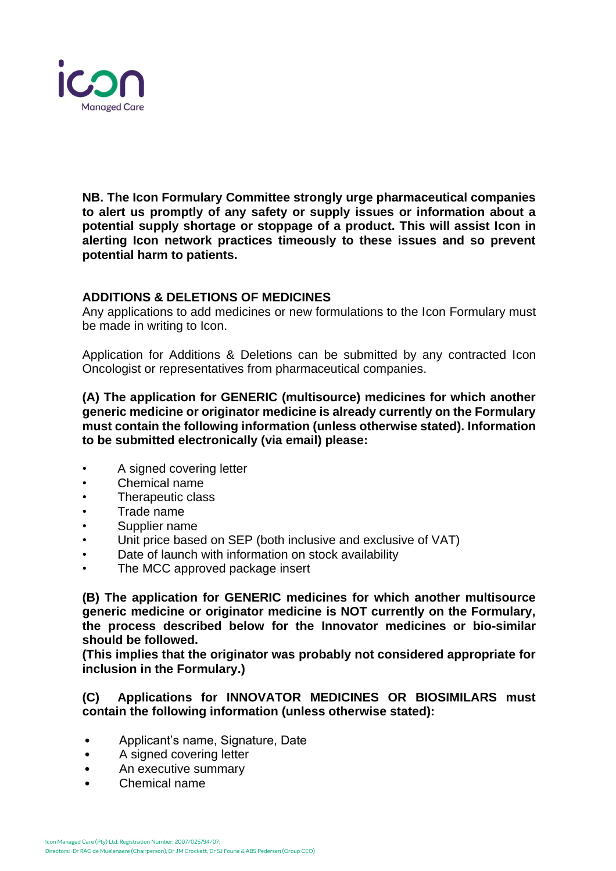

**NB. The Icon Formulary Committee strongly urge pharmaceutical companies to alert us promptly of any safety or supply issues or information about a potential supply shortage or stoppage of a product. This will assist Icon in alerting Icon network practices timeously to these issues and so prevent potential harm to patients.** 

# **ADDITIONS & DELETIONS OF MEDICINES**

Any applications to add medicines or new formulations to the Icon Formulary must be made in writing to Icon.

Application for Additions & Deletions can be submitted by any contracted Icon Oncologist or representatives from pharmaceutical companies.

**(A) The application for GENERIC (multisource) medicines for which another generic medicine or originator medicine is already currently on the Formulary must contain the following information (unless otherwise stated). Information to be submitted electronically (via email) please:**

- A signed covering letter
- Chemical name
- Therapeutic class
- Trade name
- Supplier name
- Unit price based on SEP (both inclusive and exclusive of VAT)
- Date of launch with information on stock availability
- The MCC approved package insert

**(B) The application for GENERIC medicines for which another multisource generic medicine or originator medicine is NOT currently on the Formulary, the process described below for the Innovator medicines or bio-similar should be followed.**

**(This implies that the originator was probably not considered appropriate for inclusion in the Formulary.)**

### **(C) Applications for INNOVATOR MEDICINES OR BIOSIMILARS must contain the following information (unless otherwise stated):**

- Applicant's name, Signature, Date
- A signed covering letter
- An executive summary
- Chemical name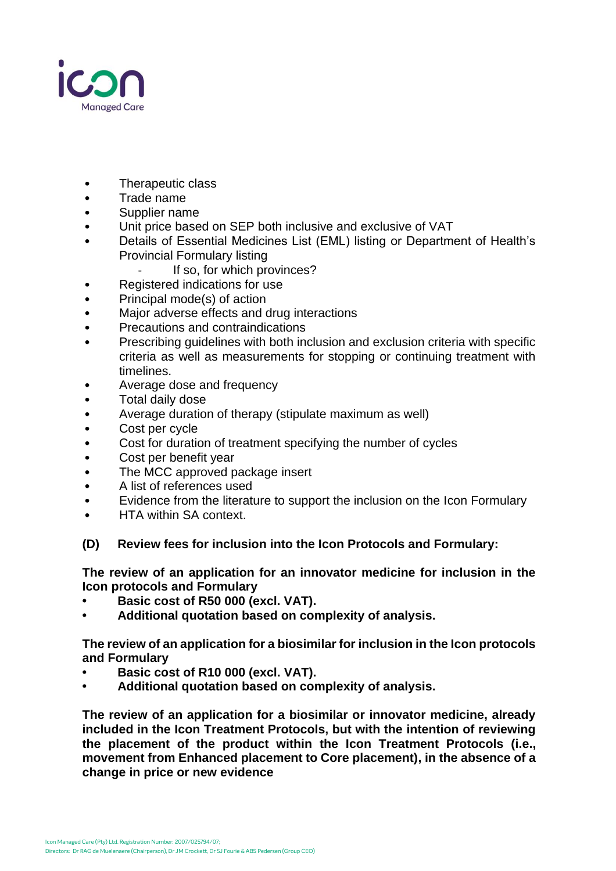

- Therapeutic class
- Trade name
- Supplier name
- Unit price based on SEP both inclusive and exclusive of VAT
- Details of Essential Medicines List (EML) listing or Department of Health's Provincial Formulary listing
	- If so, for which provinces?
- Registered indications for use
- Principal mode(s) of action
- Major adverse effects and drug interactions
- Precautions and contraindications
- Prescribing guidelines with both inclusion and exclusion criteria with specific criteria as well as measurements for stopping or continuing treatment with timelines.
- Average dose and frequency
- Total daily dose
- Average duration of therapy (stipulate maximum as well)
- Cost per cycle
- Cost for duration of treatment specifying the number of cycles
- Cost per benefit year
- The MCC approved package insert
- A list of references used
- Evidence from the literature to support the inclusion on the Icon Formulary
- HTA within SA context.

#### **(D) Review fees for inclusion into the Icon Protocols and Formulary:**

**The review of an application for an innovator medicine for inclusion in the Icon protocols and Formulary**

- **• Basic cost of R50 000 (excl. VAT).**
- **• Additional quotation based on complexity of analysis.**

**The review of an application for a biosimilar for inclusion in the Icon protocols and Formulary** 

- **• Basic cost of R10 000 (excl. VAT).**
- **• Additional quotation based on complexity of analysis.**

**The review of an application for a biosimilar or innovator medicine, already included in the Icon Treatment Protocols, but with the intention of reviewing the placement of the product within the Icon Treatment Protocols (i.e., movement from Enhanced placement to Core placement), in the absence of a change in price or new evidence**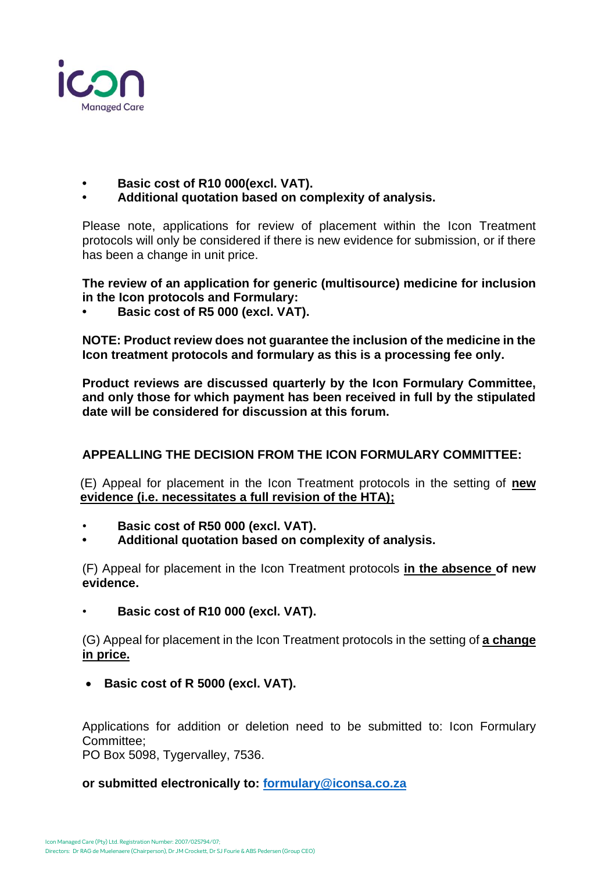

- **• Basic cost of R10 000(excl. VAT).**
- **• Additional quotation based on complexity of analysis.**

Please note, applications for review of placement within the Icon Treatment protocols will only be considered if there is new evidence for submission, or if there has been a change in unit price.

**The review of an application for generic (multisource) medicine for inclusion in the Icon protocols and Formulary:**

**• Basic cost of R5 000 (excl. VAT).**

**NOTE: Product review does not guarantee the inclusion of the medicine in the Icon treatment protocols and formulary as this is a processing fee only.**

**Product reviews are discussed quarterly by the Icon Formulary Committee, and only those for which payment has been received in full by the stipulated date will be considered for discussion at this forum.**

# **APPEALLING THE DECISION FROM THE ICON FORMULARY COMMITTEE:**

(E) Appeal for placement in the Icon Treatment protocols in the setting of **new evidence (i.e. necessitates a full revision of the HTA);**

- **Basic cost of R50 000 (excl. VAT).**
- **• Additional quotation based on complexity of analysis.**

(F) Appeal for placement in the Icon Treatment protocols **in the absence of new evidence.**

• **Basic cost of R10 000 (excl. VAT).**

(G) Appeal for placement in the Icon Treatment protocols in the setting of **a change in price.**

• **Basic cost of R 5000 (excl. VAT).**

Applications for addition or deletion need to be submitted to: Icon Formulary Committee;

PO Box 5098, Tygervalley, 7536.

# **or submitted electronically to: [formulary@iconsa.co.za](mailto:formulary@iconsa.co.za)**